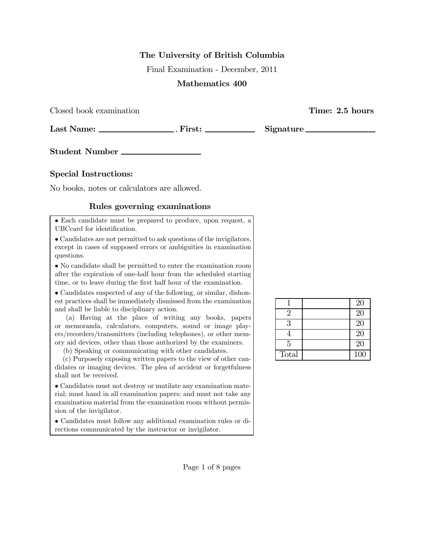## The University of British Columbia

Final Examination - December, 2011

#### Mathematics 400

Closed book examination Time: 2.5 hours

Last Name: , First: Signature

Student Number

### Special Instructions:

No books, notes or calculators are allowed.

#### Rules governing examinations

• Each candidate must be prepared to produce, upon request, a UBCcard for identification.

• Candidates are not permitted to ask questions of the invigilators, except in cases of supposed errors or ambiguities in examination questions.

• No candidate shall be permitted to enter the examination room after the expiration of one-half hour from the scheduled starting time, or to leave during the first half hour of the examination.

• Candidates suspected of any of the following, or similar, dishonest practices shall be immediately dismissed from the examination and shall be liable to disciplinary action.

(a) Having at the place of writing any books, papers or memoranda, calculators, computers, sound or image players/recorders/transmitters (including telephones), or other memory aid devices, other than those authorized by the examiners.

(b) Speaking or communicating with other candidates.

(c) Purposely exposing written papers to the view of other candidates or imaging devices. The plea of accident or forgetfulness shall not be received.

• Candidates must not destroy or mutilate any examination material; must hand in all examination papers; and must not take any examination material from the examination room without permission of the invigilator.

• Candidates must follow any additional examination rules or directions communicated by the instructor or invigilator.

|                | 20  |
|----------------|-----|
| $\mathfrak{D}$ | 20  |
| 3              | 20  |
|                | 20  |
| 5              | 20  |
| Total          | 100 |

Page 1 of 8 pages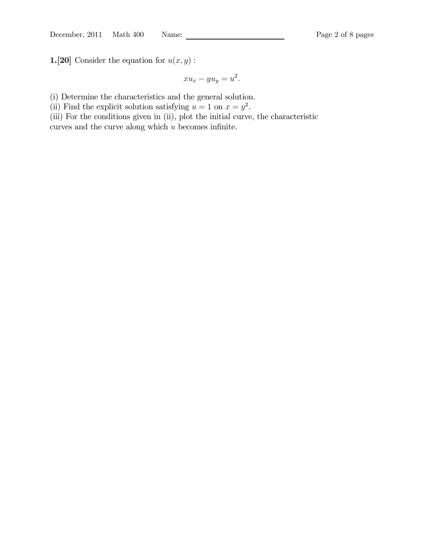**1.[20]** Consider the equation for  $u(x, y)$ :

$$
xu_x - yu_y = u^2.
$$

(i) Determine the characteristics and the general solution.

(ii) Find the explicit solution satisfying  $u = 1$  on  $x = y^2$ .

(iii) For the conditions given in (ii), plot the initial curve, the characteristic curves and the curve along which  $u$  becomes infinite.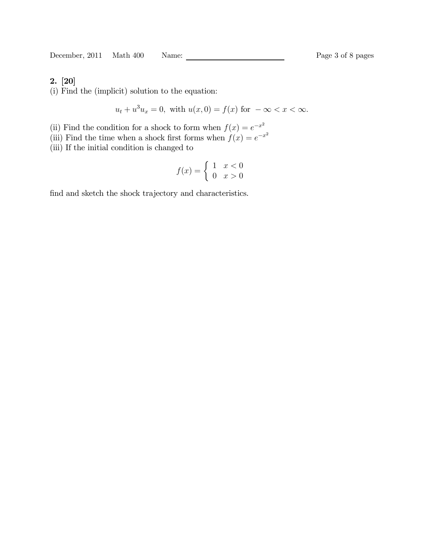# 2. [20]

(i) Find the (implicit) solution to the equation:

$$
u_t + u^3 u_x = 0
$$
, with  $u(x, 0) = f(x)$  for  $-\infty < x < \infty$ .

- (ii) Find the condition for a shock to form when  $f(x) = e^{-x^2}$
- (iii) Find the time when a shock first forms when  $f(x) = e^{-x^2}$
- (iii) If the initial condition is changed to

$$
f(x) = \begin{cases} 1 & x < 0 \\ 0 & x > 0 \end{cases}
$$

find and sketch the shock trajectory and characteristics.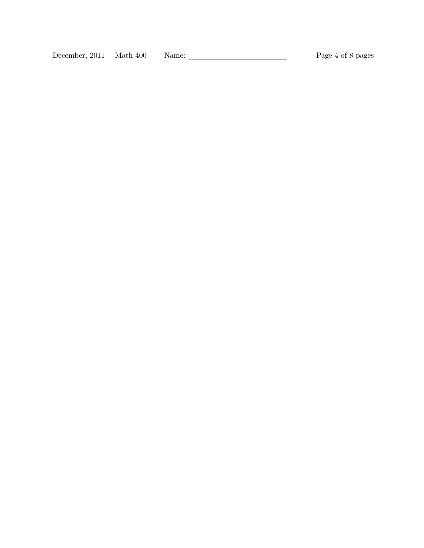December, 2011 Math 400 Name: 2011 Math 400 Name: Page 4 of 8 pages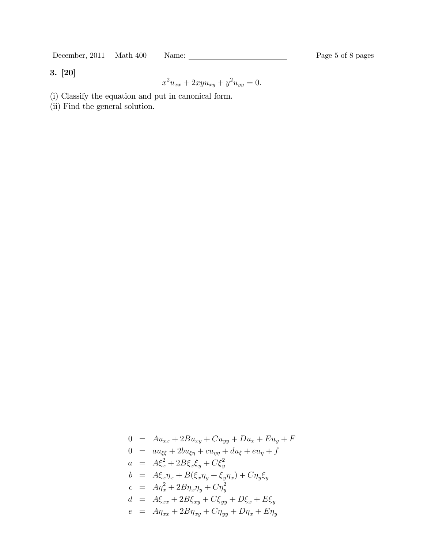December, 2011 Math 400 Name: Page 5 of 8 pages

3. [20]

$$
x^2 u_{xx} + 2xy u_{xy} + y^2 u_{yy} = 0.
$$

- (i) Classify the equation and put in canonical form.
- (ii) Find the general solution.

 $0 = Au_{xx} + 2Bu_{xy} + Cu_{yy} + Du_x + Eu_y + F$  $0 = au_{\xi\xi} + 2bu_{\xi\eta} + cu_{\eta\eta} + du_{\xi} + eu_{\eta} + f$  $a = A \xi_x^2 + 2B \xi_x \xi_y + C \xi_y^2$  $b = A \xi_x \eta_x + B(\xi_x \eta_y + \xi_y \eta_x) + C \eta_y \xi_y$  $c = A\eta_x^2 + 2B\eta_x\eta_y + C\eta_y^2$  $d = A \xi_{xx} + 2B \xi_{xy} + C \xi_{yy} + D \xi_{x} + E \xi_{y}$  $e = A\eta_{xx} + 2B\eta_{xy} + C\eta_{yy} + D\eta_x + E\eta_y$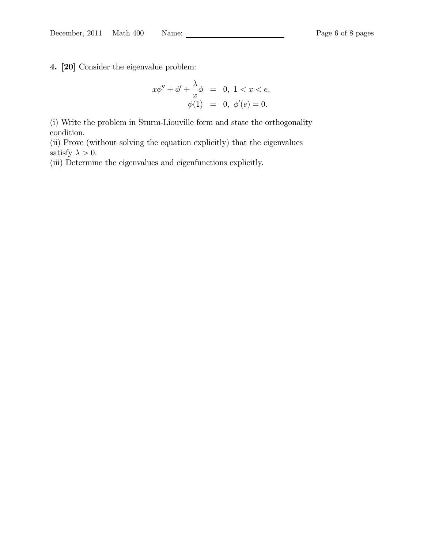4. [20] Consider the eigenvalue problem:

$$
x\phi'' + \phi' + \frac{\lambda}{x}\phi = 0, \ 1 < x < e,
$$
  

$$
\phi(1) = 0, \ \phi'(e) = 0.
$$

(i) Write the problem in Sturm-Liouville form and state the orthogonality condition.

(ii) Prove (without solving the equation explicitly) that the eigenvalues satisfy  $\lambda > 0$ .

(iii) Determine the eigenvalues and eigenfunctions explicitly.